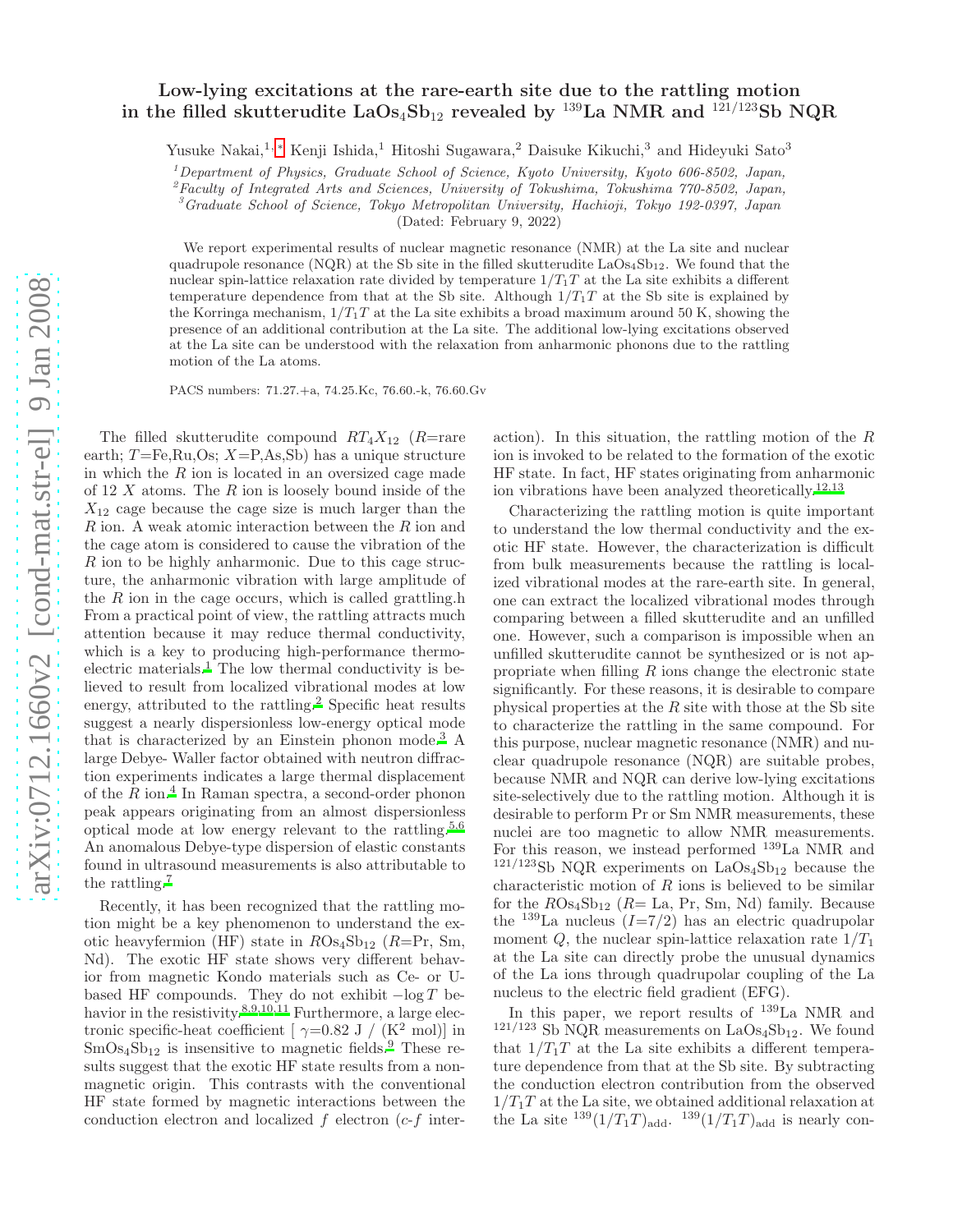## $arXiv:0712.1660v2$  [cond-mat.str-el] 9 Jan 2008 [arXiv:0712.1660v2 \[cond-mat.str-el\] 9 Jan 2008](http://arxiv.org/abs/0712.1660v2)

## Low-lying excitations at the rare-earth site due to the rattling motion in the filled skutterudite  $LaOs_4Sb_{12}$  revealed by <sup>139</sup>La NMR and <sup>121/123</sup>Sb NOR

Yusuke Nakai,<sup>1,[∗](#page-3-0)</sup> Kenji Ishida,<sup>1</sup> Hitoshi Sugawara,<sup>2</sup> Daisuke Kikuchi,<sup>3</sup> and Hideyuki Sato<sup>3</sup>

<sup>1</sup>Department of Physics, Graduate School of Science, Kyoto University, Kyoto 606-8502, Japan,

 ${}^{2}$  Faculty of Integrated Arts and Sciences, University of Tokushima, Tokushima 770-8502, Japan,

<sup>3</sup>Graduate School of Science, Tokyo Metropolitan University, Hachioji, Tokyo 192-0397, Japan

(Dated: February 9, 2022)

We report experimental results of nuclear magnetic resonance (NMR) at the La site and nuclear quadrupole resonance (NQR) at the Sb site in the filled skutterudite  $LaOs<sub>4</sub>Sh<sub>12</sub>$ . We found that the nuclear spin-lattice relaxation rate divided by temperature  $1/T_1T$  at the La site exhibits a different temperature dependence from that at the Sb site. Although  $1/T_1T$  at the Sb site is explained by the Korringa mechanism,  $1/T_1T$  at the La site exhibits a broad maximum around 50 K, showing the presence of an additional contribution at the La site. The additional low-lying excitations observed at the La site can be understood with the relaxation from anharmonic phonons due to the rattling motion of the La atoms.

PACS numbers: 71.27.+a, 74.25.Kc, 76.60.-k, 76.60.Gv

The filled skutterudite compound  $RT_4X_{12}$  (R=rare earth;  $T=\text{Fe}, \text{Ru}, \text{Os}; X=\text{P}, \text{As}, \text{Sb}$  has a unique structure in which the  $R$  ion is located in an oversized cage made of 12  $X$  atoms. The  $R$  ion is loosely bound inside of the  $X_{12}$  cage because the cage size is much larger than the R ion. A weak atomic interaction between the R ion and the cage atom is considered to cause the vibration of the  $R$  ion to be highly anharmonic. Due to this cage structure, the anharmonic vibration with large amplitude of the  $R$  ion in the cage occurs, which is called grattling.h From a practical point of view, the rattling attracts much attention because it may reduce thermal conductivity, which is a key to producing high-performance thermo-electric materials.<sup>[1](#page-3-1)</sup> The low thermal conductivity is believed to result from localized vibrational modes at low energy, attributed to the rattling.<sup>[2](#page-3-2)</sup> Specific heat results suggest a nearly dispersionless low-energy optical mode that is characterized by an Einstein phonon mode.<sup>[3](#page-3-3)</sup> A large Debye- Waller factor obtained with neutron diffraction experiments indicates a large thermal displacement of the  $R$  ion.<sup>[4](#page-3-4)</sup> In Raman spectra, a second-order phonon peak appears originating from an almost dispersionless optical mode at low energy relevant to the rattling.<sup>[5](#page-3-5)[,6](#page-3-6)</sup> An anomalous Debye-type dispersion of elastic constants found in ultrasound measurements is also attributable to the rattling.[7](#page-3-7)

Recently, it has been recognized that the rattling motion might be a key phenomenon to understand the exotic heavyfermion (HF) state in  $ROs_4Sb_{12}$  (R=Pr, Sm, Nd). The exotic HF state shows very different behavior from magnetic Kondo materials such as Ce- or Ubased HF compounds. They do not exhibit  $-\log T$  be-havior in the resistivity[.](#page-3-8)<sup>8[,9](#page-3-9)[,10](#page-3-10)[,11](#page-3-11)</sup> Furthermore, a large electronic specific-heat coefficient [  $\gamma{=}0.82$  J /  $(\mathrm{K}^2$  mol)] in  $SmOs<sub>4</sub>Sb<sub>12</sub>$  is insensitive to magnetic fields[.](#page-3-9)<sup>9</sup> These results suggest that the exotic HF state results from a nonmagnetic origin. This contrasts with the conventional HF state formed by magnetic interactions between the conduction electron and localized  $f$  electron  $(c-f)$  inter-

action). In this situation, the rattling motion of the  $R$ ion is invoked to be related to the formation of the exotic HF state. In fact, HF states originating from anharmonic ion vibrations have been analyzed theoretically.[12](#page-3-12)[,13](#page-3-13)

Characterizing the rattling motion is quite important to understand the low thermal conductivity and the exotic HF state. However, the characterization is difficult from bulk measurements because the rattling is localized vibrational modes at the rare-earth site. In general, one can extract the localized vibrational modes through comparing between a filled skutterudite and an unfilled one. However, such a comparison is impossible when an unfilled skutterudite cannot be synthesized or is not appropriate when filling  $R$  ions change the electronic state significantly. For these reasons, it is desirable to compare physical properties at the  $R$  site with those at the Sb site to characterize the rattling in the same compound. For this purpose, nuclear magnetic resonance (NMR) and nuclear quadrupole resonance (NQR) are suitable probes, because NMR and NQR can derive low-lying excitations site-selectively due to the rattling motion. Although it is desirable to perform Pr or Sm NMR measurements, these nuclei are too magnetic to allow NMR measurements. For this reason, we instead performed  $^{139}$ La NMR and  $121/123$ Sb NQR experiments on LaOs<sub>4</sub>Sb<sub>12</sub> because the characteristic motion of  $R$  ions is believed to be similar for the  $ROs<sub>4</sub>Sb<sub>12</sub>$  ( $R=$  La, Pr, Sm, Nd) family. Because the <sup>139</sup>La nucleus  $(I=7/2)$  has an electric quadrupolar moment  $Q$ , the nuclear spin-lattice relaxation rate  $1/T_1$ at the La site can directly probe the unusual dynamics of the La ions through quadrupolar coupling of the La nucleus to the electric field gradient (EFG).

In this paper, we report results of <sup>139</sup>La NMR and  $121/123$  Sb NQR measurements on LaOs<sub>4</sub>Sb<sub>12</sub>. We found that  $1/T_1T$  at the La site exhibits a different temperature dependence from that at the Sb site. By subtracting the conduction electron contribution from the observed  $1/T_1T$  at the La site, we obtained additional relaxation at the La site  $^{139}(1/T_1T)_{\text{add}}$ .  $^{139}(1/T_1T)_{\text{add}}$  is nearly con-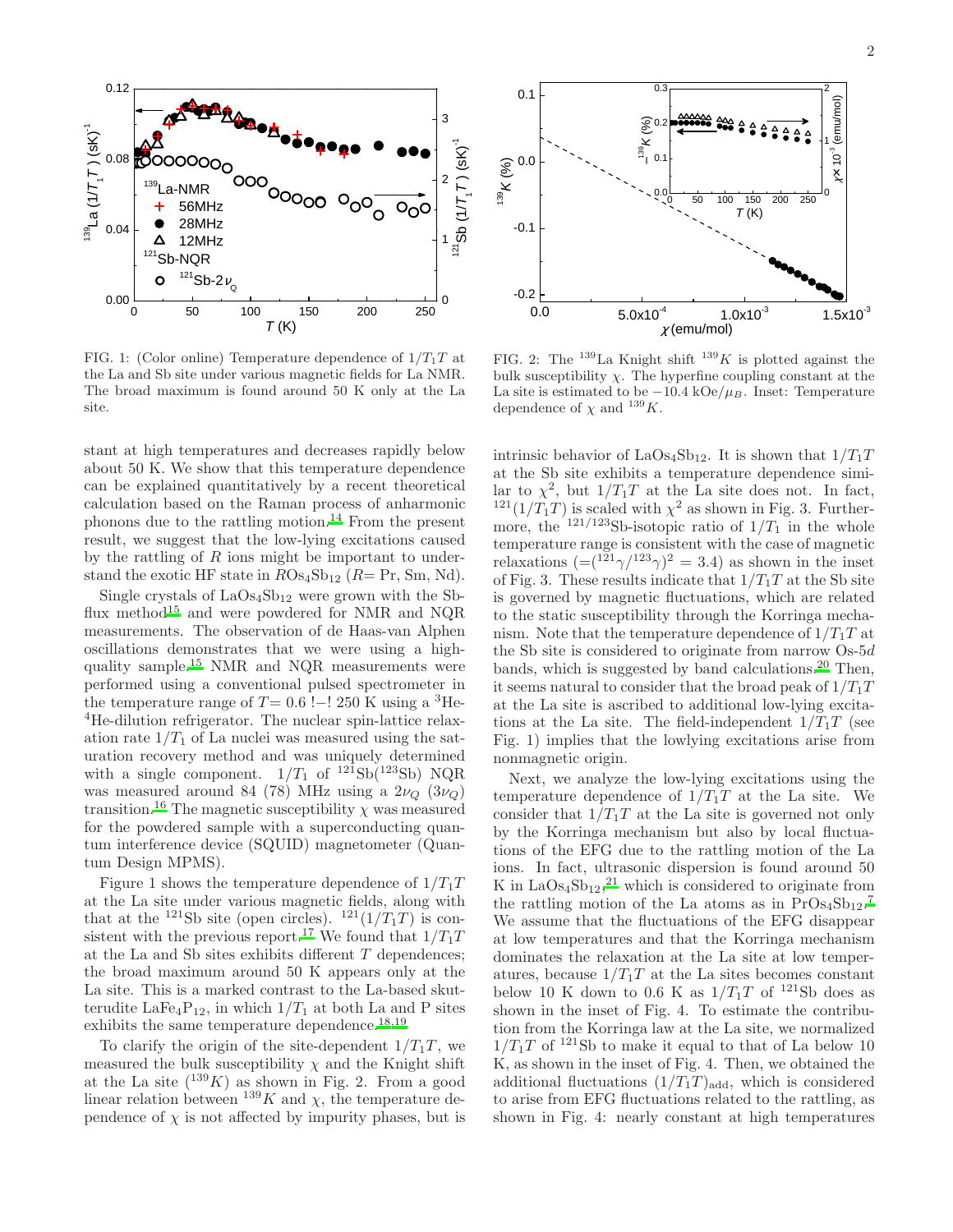

FIG. 1: (Color online) Temperature dependence of  $1/T_1T$  at the La and Sb site under various magnetic fields for La NMR. The broad maximum is found around 50 K only at the La site.

stant at high temperatures and decreases rapidly below about 50 K. We show that this temperature dependence can be explained quantitatively by a recent theoretical calculation based on the Raman process of anharmonic phonons due to the rattling motion.<sup>[14](#page-3-14)</sup> From the present result, we suggest that the low-lying excitations caused by the rattling of  $R$  ions might be important to understand the exotic HF state in  $ROs<sub>4</sub>Sb<sub>12</sub>$  ( $R= Pr$ , Sm, Nd).

Single crystals of  $LaOs<sub>4</sub>Sb<sub>12</sub>$  were grown with the Sb-flux method<sup>[15](#page-3-15)</sup> and were powdered for NMR and NQR measurements. The observation of de Haas-van Alphen oscillations demonstrates that we were using a highquality sample.[15](#page-3-15) NMR and NQR measurements were performed using a conventional pulsed spectrometer in the temperature range of  $T= 0.6$  !–! 250 K using a <sup>3</sup>He-<sup>4</sup>He-dilution refrigerator. The nuclear spin-lattice relaxation rate  $1/T_1$  of La nuclei was measured using the saturation recovery method and was uniquely determined with a single component.  $1/T_1$  of  $^{121}Sb(^{123}Sb)$  NQR was measured around 84 (78) MHz using a  $2\nu_{\Omega}$  (3 $\nu_{\Omega}$ ) transition.<sup>[16](#page-3-16)</sup> The magnetic susceptibility  $\chi$  was measured for the powdered sample with a superconducting quantum interference device (SQUID) magnetometer (Quantum Design MPMS).

Figure 1 shows the temperature dependence of  $1/T_1T$ at the La site under various magnetic fields, along with that at the <sup>121</sup>Sb site (open circles). <sup>121</sup>(1/T<sub>1</sub>T) is con-sistent with the previous report.<sup>[17](#page-3-17)</sup> We found that  $1/T_1T$ at the La and Sb sites exhibits different  $T$  dependences; the broad maximum around 50 K appears only at the La site. This is a marked contrast to the La-based skutterudite LaFe<sub>4</sub>P<sub>12</sub>, in which  $1/T_1$  at both La and P sites exhibits the same temperature dependence.<sup>[18](#page-3-18)[,19](#page-3-19)</sup>

To clarify the origin of the site-dependent  $1/T_1T$ , we measured the bulk susceptibility  $\chi$  and the Knight shift at the La site  $(^{139}K)$  as shown in Fig. 2. From a good linear relation between  $^{139}K$  and  $\chi$ , the temperature dependence of  $\chi$  is not affected by impurity phases, but is



FIG. 2: The  $^{139}$ La Knight shift  $^{139}K$  is plotted against the bulk susceptibility  $\chi$ . The hyperfine coupling constant at the La site is estimated to be  $-10.4 \text{ kOe}/\mu_B$ . Inset: Temperature dependence of  $\chi$  and <sup>139</sup>K.

intrinsic behavior of LaOs<sub>4</sub>Sb<sub>12</sub>. It is shown that  $1/T_1T$ at the Sb site exhibits a temperature dependence similar to  $\chi^2$ , but  $1/T_1T$  at the La site does not. In fact,  $1^{21}(1/T_1T)$  is scaled with  $\chi^2$  as shown in Fig. 3. Furthermore, the  $121/123$ Sb-isotopic ratio of  $1/T_1$  in the whole temperature range is consistent with the case of magnetic relaxations  $\left(=(\frac{121}{\gamma})^{123}\gamma\right)^2=3.4$  as shown in the inset of Fig. 3. These results indicate that  $1/T_1T$  at the Sb site is governed by magnetic fluctuations, which are related to the static susceptibility through the Korringa mechanism. Note that the temperature dependence of  $1/T_1T$  at the Sb site is considered to originate from narrow  $Os-5d$ bands, which is suggested by band calculations.<sup>[20](#page-3-20)</sup> Then, it seems natural to consider that the broad peak of  $1/T_1T$ at the La site is ascribed to additional low-lying excitations at the La site. The field-independent  $1/T_1T$  (see Fig. 1) implies that the lowlying excitations arise from nonmagnetic origin.

Next, we analyze the low-lying excitations using the temperature dependence of  $1/T_1T$  at the La site. We consider that  $1/T_1T$  at the La site is governed not only by the Korringa mechanism but also by local fluctuations of the EFG due to the rattling motion of the La ions. In fact, ultrasonic dispersion is found around 50 K in  $LaOs<sub>4</sub>Sb<sub>12</sub>,<sup>21</sup>$  $LaOs<sub>4</sub>Sb<sub>12</sub>,<sup>21</sup>$  $LaOs<sub>4</sub>Sb<sub>12</sub>,<sup>21</sup>$  which is considered to originate from the rattling motion of the La atoms as in  $\text{Pros}_4\text{Sb}_{12}$ .<sup>[7](#page-3-7)</sup> We assume that the fluctuations of the EFG disappear at low temperatures and that the Korringa mechanism dominates the relaxation at the La site at low temperatures, because  $1/T_1T$  at the La sites becomes constant below 10 K down to 0.6 K as  $1/T_1T$  of <sup>121</sup>Sb does as shown in the inset of Fig. 4. To estimate the contribution from the Korringa law at the La site, we normalized  $1/T_1T$  of <sup>121</sup>Sb to make it equal to that of La below 10 K, as shown in the inset of Fig. 4. Then, we obtained the additional fluctuations  $(1/T_1T)_{\text{add}}$ , which is considered to arise from EFG fluctuations related to the rattling, as shown in Fig. 4: nearly constant at high temperatures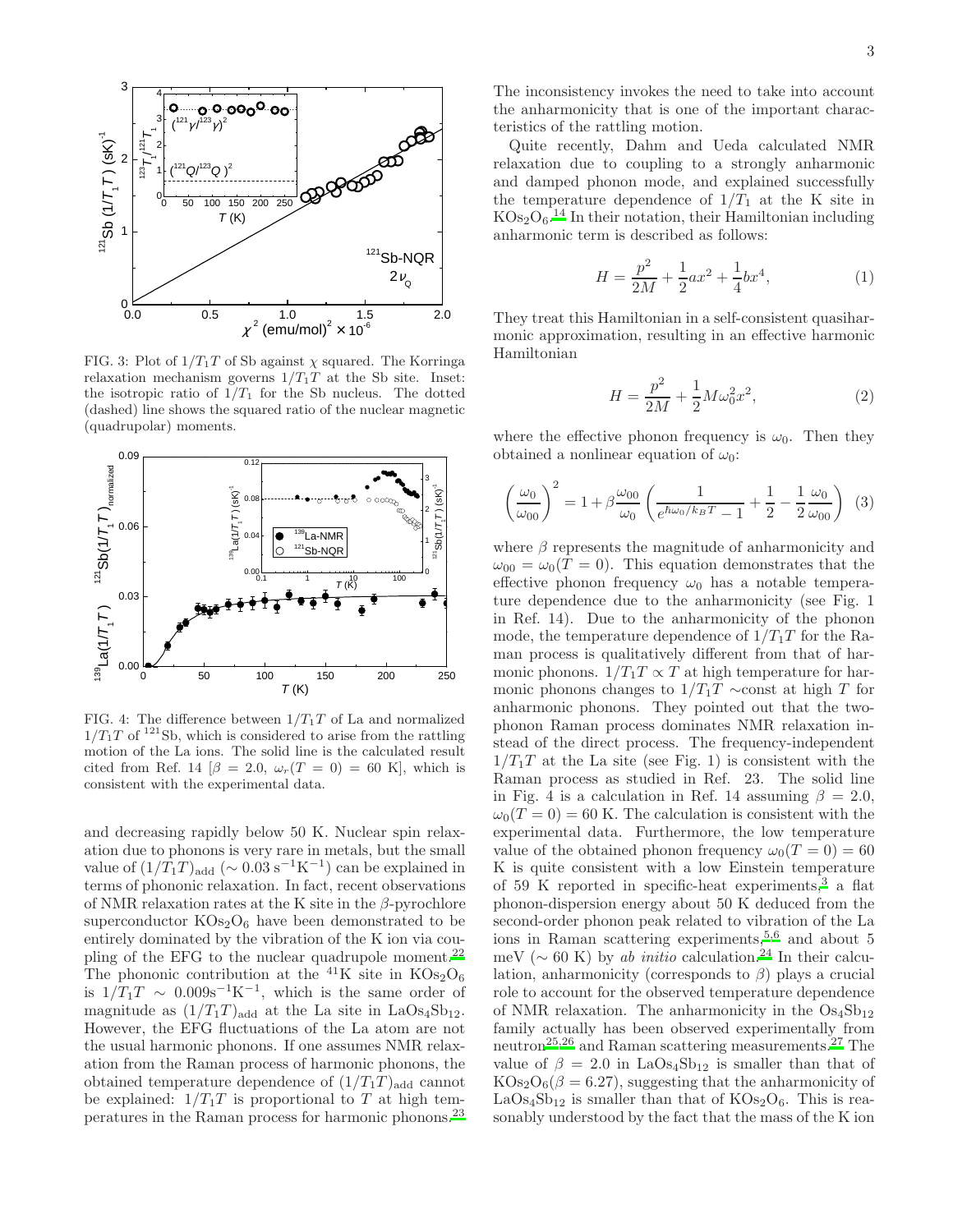

FIG. 3: Plot of  $1/T_1T$  of Sb against  $\chi$  squared. The Korringa relaxation mechanism governs  $1/T_1T$  at the Sb site. Inset: the isotropic ratio of  $1/T_1$  for the Sb nucleus. The dotted (dashed) line shows the squared ratio of the nuclear magnetic (quadrupolar) moments.



FIG. 4: The difference between  $1/T_1T$  of La and normalized  $1/T_1T$  of <sup>121</sup>Sb, which is considered to arise from the rattling motion of the La ions. The solid line is the calculated result cited from Ref. 14  $\beta = 2.0$ ,  $\omega_r(T = 0) = 60$  K, which is consistent with the experimental data.

and decreasing rapidly below 50 K. Nuclear spin relaxation due to phonons is very rare in metals, but the small value of  $(1/\overline{T_1T})_{\text{add}}$  (~ 0.03 s<sup>-1</sup>K<sup>-1</sup>) can be explained in terms of phononic relaxation. In fact, recent observations of NMR relaxation rates at the K site in the  $\beta$ -pyrochlore superconductor  $KOs<sub>2</sub>O<sub>6</sub>$  have been demonstrated to be entirely dominated by the vibration of the K ion via cou-pling of the EFG to the nuclear quadrupole moment.<sup>[22](#page-3-22)</sup> The phononic contribution at the <sup>41</sup>K site in  $KOs<sub>2</sub>O<sub>6</sub>$ is  $1/T_1T \sim 0.009$ s<sup>-1</sup>K<sup>-1</sup>, which is the same order of magnitude as  $(1/T_1T)_{\text{add}}$  at the La site in LaOs<sub>4</sub>Sb<sub>12</sub>. However, the EFG fluctuations of the La atom are not the usual harmonic phonons. If one assumes NMR relaxation from the Raman process of harmonic phonons, the obtained temperature dependence of  $(1/T_1T)_{\text{add}}$  cannot be explained:  $1/T_1T$  is proportional to T at high temperatures in the Raman process for harmonic phonons.[23](#page-3-23)

The inconsistency invokes the need to take into account the anharmonicity that is one of the important characteristics of the rattling motion.

Quite recently, Dahm and Ueda calculated NMR relaxation due to coupling to a strongly anharmonic and damped phonon mode, and explained successfully the temperature dependence of  $1/T_1$  at the K site in  $KOs<sub>2</sub>O<sub>6</sub>$ .<sup>[14](#page-3-14)</sup> In their notation, their Hamiltonian including anharmonic term is described as follows:

$$
H = \frac{p^2}{2M} + \frac{1}{2}ax^2 + \frac{1}{4}bx^4,
$$
 (1)

They treat this Hamiltonian in a self-consistent quasiharmonic approximation, resulting in an effective harmonic Hamiltonian

$$
H = \frac{p^2}{2M} + \frac{1}{2}M\omega_0^2 x^2,
$$
 (2)

where the effective phonon frequency is  $\omega_0$ . Then they obtained a nonlinear equation of  $\omega_0$ :

$$
\left(\frac{\omega_0}{\omega_{00}}\right)^2 = 1 + \beta \frac{\omega_{00}}{\omega_0} \left(\frac{1}{e^{\hbar \omega_0 / k_B T} - 1} + \frac{1}{2} - \frac{1}{2} \frac{\omega_0}{\omega_{00}}\right) (3)
$$

where  $\beta$  represents the magnitude of anharmonicity and  $\omega_{00} = \omega_0(T = 0)$ . This equation demonstrates that the effective phonon frequency  $\omega_0$  has a notable temperature dependence due to the anharmonicity (see Fig. 1 in Ref. 14). Due to the anharmonicity of the phonon mode, the temperature dependence of  $1/T_1T$  for the Raman process is qualitatively different from that of harmonic phonons.  $1/T_1T \propto T$  at high temperature for harmonic phonons changes to  $1/T_1T \sim$ const at high T for anharmonic phonons. They pointed out that the twophonon Raman process dominates NMR relaxation instead of the direct process. The frequency-independent  $1/T_1T$  at the La site (see Fig. 1) is consistent with the Raman process as studied in Ref. 23. The solid line in Fig. 4 is a calculation in Ref. 14 assuming  $\beta = 2.0$ ,  $\omega_0(T=0) = 60$  K. The calculation is consistent with the experimental data. Furthermore, the low temperature value of the obtained phonon frequency  $\omega_0(T=0) = 60$ K is quite consistent with a low Einstein temperature of 59 K reported in specific-heat experiments,  $3$  a flat phonon-dispersion energy about 50 K deduced from the second-order phonon peak related to vibration of the La ions in Raman scattering experiments,  $5,6$  $5,6$  and about 5 meV ( $\sim$  60 K) by ab initio calculation.<sup>[24](#page-3-24)</sup> In their calculation, anharmonicity (corresponds to  $\beta$ ) plays a crucial role to account for the observed temperature dependence of NMR relaxation. The anharmonicity in the  $Os<sub>4</sub>Sb<sub>12</sub>$ family actually has been observed experimentally from neutron[25](#page-3-25)[,26](#page-3-26) and Raman scattering measurements.[27](#page-3-27) The value of  $\beta = 2.0$  in LaOs<sub>4</sub>Sb<sub>12</sub> is smaller than that of  $KOs<sub>2</sub>O<sub>6</sub>(\beta = 6.27)$ , suggesting that the anharmonicity of  $LaOs<sub>4</sub>Sb<sub>12</sub>$  is smaller than that of  $KOs<sub>2</sub>O<sub>6</sub>$ . This is reasonably understood by the fact that the mass of the K ion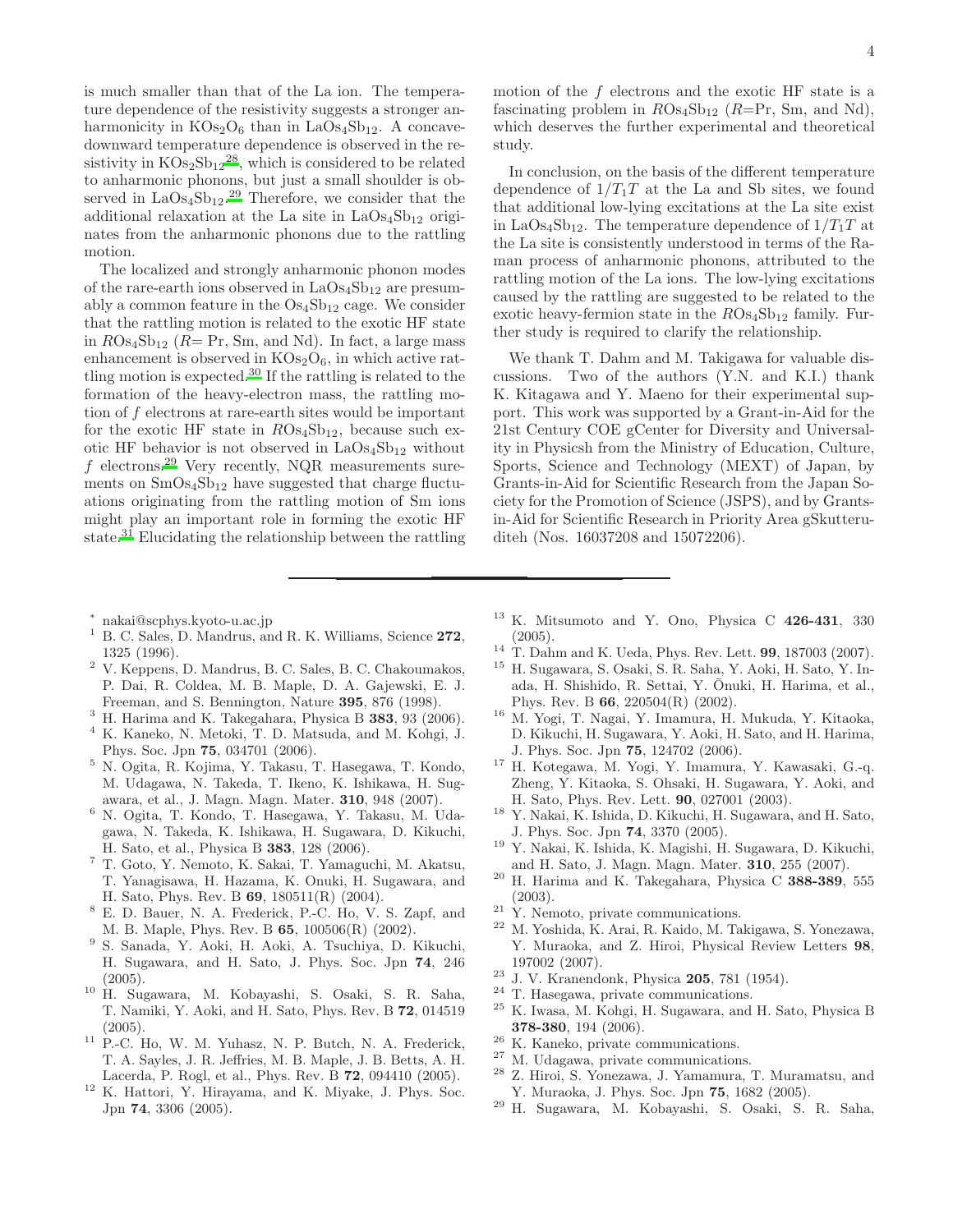is much smaller than that of the La ion. The temperature dependence of the resistivity suggests a stronger anharmonicity in  $KOs<sub>2</sub>O<sub>6</sub>$  than in LaOs<sub>4</sub>Sb<sub>12</sub>. A concavedownward temperature dependence is observed in the resistivity in  $KOs_2Sb_{12}^{28}$  $KOs_2Sb_{12}^{28}$  $KOs_2Sb_{12}^{28}$ , which is considered to be related to anharmonic phonons, but just a small shoulder is observed in  $LaOs<sub>4</sub>Sb<sub>12</sub>$ .<sup>[29](#page-3-29)</sup> Therefore, we consider that the additional relaxation at the La site in  $LaOs<sub>4</sub>Sb<sub>12</sub>$  originates from the anharmonic phonons due to the rattling motion.

The localized and strongly anharmonic phonon modes of the rare-earth ions observed in  $LaOs<sub>4</sub>Sb<sub>12</sub>$  are presumably a common feature in the  $Os<sub>4</sub>Sb<sub>12</sub>$  cage. We consider that the rattling motion is related to the exotic HF state in  $ROs<sub>4</sub>Sb<sub>12</sub>$  ( $R= Pr$ , Sm, and Nd). In fact, a large mass enhancement is observed in  $KOs<sub>2</sub>O<sub>6</sub>$ , in which active rat-tling motion is expected.<sup>[30](#page-4-0)</sup> If the rattling is related to the formation of the heavy-electron mass, the rattling motion of f electrons at rare-earth sites would be important for the exotic HF state in  $ROs<sub>4</sub>Sb<sub>12</sub>$ , because such exotic HF behavior is not observed in  $LaOs<sub>4</sub>Sb<sub>12</sub>$  without f electrons.<sup>[29](#page-3-29)</sup> Very recently, NQR measurements surements on  $SmOs<sub>4</sub>Sb<sub>12</sub>$  have suggested that charge fluctuations originating from the rattling motion of Sm ions might play an important role in forming the exotic HF state.[31](#page-4-1) Elucidating the relationship between the rattling

motion of the  $f$  electrons and the exotic HF state is a fascinating problem in  $ROs<sub>4</sub>Sb<sub>12</sub>$  (R=Pr, Sm, and Nd), which deserves the further experimental and theoretical study.

In conclusion, on the basis of the different temperature dependence of  $1/T_1T$  at the La and Sb sites, we found that additional low-lying excitations at the La site exist in LaOs<sub>4</sub>Sb<sub>12</sub>. The temperature dependence of  $1/T_1T$  at the La site is consistently understood in terms of the Raman process of anharmonic phonons, attributed to the rattling motion of the La ions. The low-lying excitations caused by the rattling are suggested to be related to the exotic heavy-fermion state in the  $ROs<sub>4</sub>Sb<sub>12</sub>$  family. Further study is required to clarify the relationship.

We thank T. Dahm and M. Takigawa for valuable discussions. Two of the authors (Y.N. and K.I.) thank K. Kitagawa and Y. Maeno for their experimental support. This work was supported by a Grant-in-Aid for the 21st Century COE gCenter for Diversity and Universality in Physicsh from the Ministry of Education, Culture, Sports, Science and Technology (MEXT) of Japan, by Grants-in-Aid for Scientific Research from the Japan Society for the Promotion of Science (JSPS), and by Grantsin-Aid for Scientific Research in Priority Area gSkutteruditeh (Nos. 16037208 and 15072206).

- ∗ nakai@scphys.kyoto-u.ac.jp
- <span id="page-3-1"></span><span id="page-3-0"></span> $1$  B. C. Sales, D. Mandrus, and R. K. Williams, Science 272. 1325 (1996).
- <span id="page-3-2"></span><sup>2</sup> V. Keppens, D. Mandrus, B. C. Sales, B. C. Chakoumakos, P. Dai, R. Coldea, M. B. Maple, D. A. Gajewski, E. J. Freeman, and S. Bennington, Nature 395, 876 (1998).
- <span id="page-3-3"></span><sup>3</sup> H. Harima and K. Takegahara, Physica B **383**, 93 (2006).<br><sup>4</sup> K. Kaneko N. Metoki, T. D. Matsuda, and M. Kohri, J.
- <span id="page-3-4"></span><sup>4</sup> K. Kaneko, N. Metoki, T. D. Matsuda, and M. Kohgi, J. Phys. Soc. Jpn 75, 034701 (2006).
- <span id="page-3-5"></span><sup>5</sup> N. Ogita, R. Kojima, Y. Takasu, T. Hasegawa, T. Kondo, M. Udagawa, N. Takeda, T. Ikeno, K. Ishikawa, H. Sugawara, et al., J. Magn. Magn. Mater. 310, 948 (2007).
- <span id="page-3-6"></span><sup>6</sup> N. Ogita, T. Kondo, T. Hasegawa, Y. Takasu, M. Udagawa, N. Takeda, K. Ishikawa, H. Sugawara, D. Kikuchi, H. Sato, et al., Physica B 383, 128 (2006).
- <span id="page-3-7"></span><sup>7</sup> T. Goto, Y. Nemoto, K. Sakai, T. Yamaguchi, M. Akatsu, T. Yanagisawa, H. Hazama, K. Onuki, H. Sugawara, and H. Sato, Phys. Rev. B 69, 180511(R) (2004).
- <span id="page-3-8"></span><sup>8</sup> E. D. Bauer, N. A. Frederick, P.-C. Ho, V. S. Zapf, and M. B. Maple, Phys. Rev. B 65, 100506(R) (2002).
- <span id="page-3-9"></span>9 S. Sanada, Y. Aoki, H. Aoki, A. Tsuchiya, D. Kikuchi, H. Sugawara, and H. Sato, J. Phys. Soc. Jpn 74, 246 (2005).
- <span id="page-3-10"></span><sup>10</sup> H. Sugawara, M. Kobayashi, S. Osaki, S. R. Saha, T. Namiki, Y. Aoki, and H. Sato, Phys. Rev. B 72, 014519 (2005).
- <span id="page-3-11"></span><sup>11</sup> P.-C. Ho, W. M. Yuhasz, N. P. Butch, N. A. Frederick, T. A. Sayles, J. R. Jeffries, M. B. Maple, J. B. Betts, A. H. Lacerda, P. Rogl, et al., Phys. Rev. B 72, 094410 (2005).
- <span id="page-3-12"></span><sup>12</sup> K. Hattori, Y. Hirayama, and K. Miyake, J. Phys. Soc. Jpn 74, 3306 (2005).
- <span id="page-3-13"></span> $13$  K. Mitsumoto and Y. Ono, Physica C 426-431, 330 (2005).
- <span id="page-3-14"></span><sup>14</sup> T. Dahm and K. Ueda, Phys. Rev. Lett. 99, 187003 (2007).
- <span id="page-3-15"></span><sup>15</sup> H. Sugawara, S. Osaki, S. R. Saha, Y. Aoki, H. Sato, Y. Inada, H. Shishido, R. Settai, Y. Ōnuki, H. Harima, et al., Phys. Rev. B 66, 220504(R) (2002).
- <span id="page-3-16"></span><sup>16</sup> M. Yogi, T. Nagai, Y. Imamura, H. Mukuda, Y. Kitaoka, D. Kikuchi, H. Sugawara, Y. Aoki, H. Sato, and H. Harima, J. Phys. Soc. Jpn 75, 124702 (2006).
- <span id="page-3-17"></span><sup>17</sup> H. Kotegawa, M. Yogi, Y. Imamura, Y. Kawasaki, G.-q. Zheng, Y. Kitaoka, S. Ohsaki, H. Sugawara, Y. Aoki, and H. Sato, Phys. Rev. Lett. 90, 027001 (2003).
- <span id="page-3-18"></span><sup>18</sup> Y. Nakai, K. Ishida, D. Kikuchi, H. Sugawara, and H. Sato, J. Phys. Soc. Jpn 74, 3370 (2005).
- <span id="page-3-19"></span><sup>19</sup> Y. Nakai, K. Ishida, K. Magishi, H. Sugawara, D. Kikuchi, and H. Sato, J. Magn. Magn. Mater. 310, 255 (2007).
- <span id="page-3-20"></span> $20$  H. Harima and K. Takegahara, Physica C 388-389, 555 (2003).
- <span id="page-3-21"></span><sup>21</sup> Y. Nemoto, private communications.<br><sup>22</sup> M. Voshida K. Arai, R. Kaido, M. Ta
- <span id="page-3-22"></span><sup>22</sup> M. Yoshida, K. Arai, R. Kaido, M. Takigawa, S. Yonezawa, Y. Muraoka, and Z. Hiroi, Physical Review Letters 98, 197002 (2007).
- <span id="page-3-23"></span><sup>23</sup> J. V. Kranendonk, Physica 205, 781 (1954).
- <span id="page-3-24"></span><sup>24</sup> T. Hasegawa, private communications.
- <span id="page-3-25"></span><sup>25</sup> K. Iwasa, M. Kohgi, H. Sugawara, and H. Sato, Physica B 378-380, 194 (2006).
- <span id="page-3-26"></span><sup>26</sup> K. Kaneko, private communications.
- <span id="page-3-27"></span><sup>27</sup> M. Udagawa, private communications.
- <span id="page-3-28"></span><sup>28</sup> Z. Hiroi, S. Yonezawa, J. Yamamura, T. Muramatsu, and Y. Muraoka, J. Phys. Soc. Jpn 75, 1682 (2005).
- <span id="page-3-29"></span><sup>29</sup> H. Sugawara, M. Kobayashi, S. Osaki, S. R. Saha,